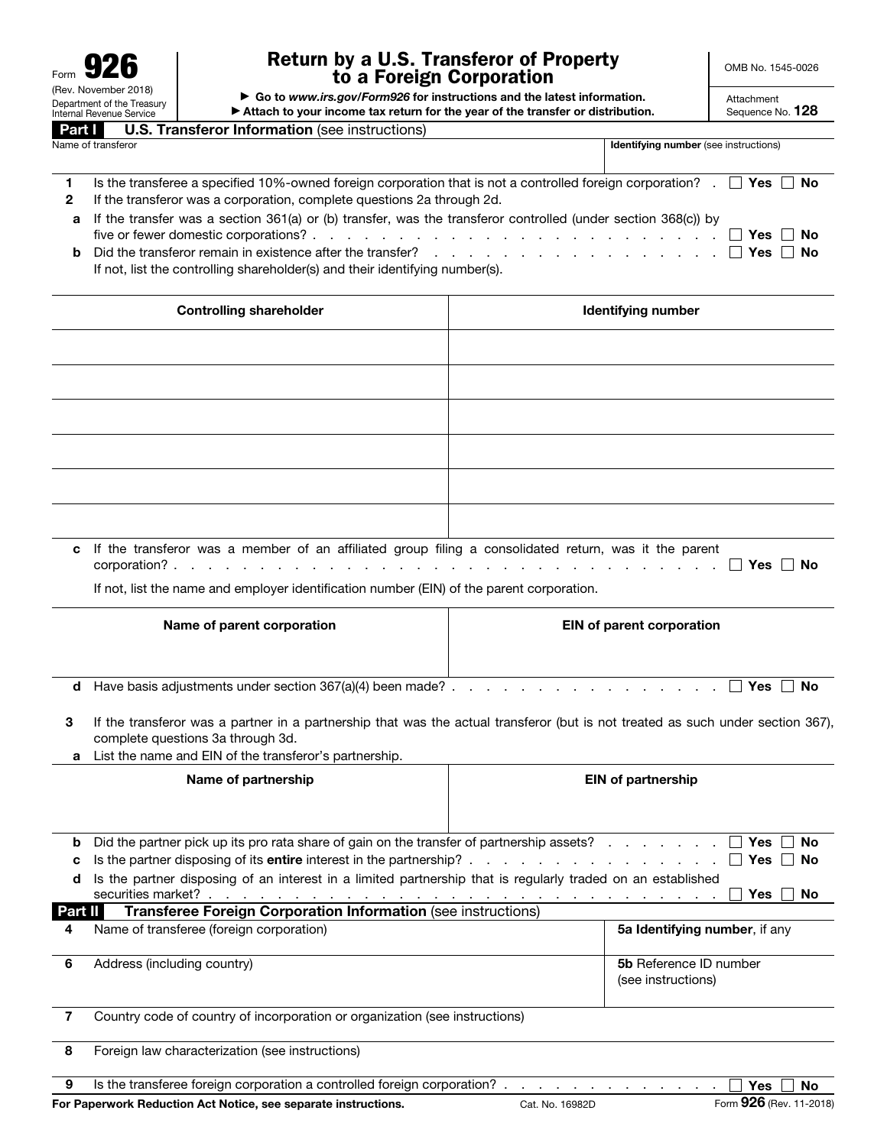| Form                                                   |
|--------------------------------------------------------|
| (Rev. November 2018)                                   |
| Department of the Treasury<br>Internal Revenue Service |
|                                                        |

## Return by a U.S. Transferor of Property to a Foreign Corporation

OMB No. 1545-0026

| Department of the Treasury<br>Internal Revenue Service | Attach to your income tax return for the year of the transfer or distribution.                                                                                                                                                                                                                                                                                                                                                                                     |                                              | Sequence No. 128                    |
|--------------------------------------------------------|--------------------------------------------------------------------------------------------------------------------------------------------------------------------------------------------------------------------------------------------------------------------------------------------------------------------------------------------------------------------------------------------------------------------------------------------------------------------|----------------------------------------------|-------------------------------------|
| Part I                                                 | <b>U.S. Transferor Information (see instructions)</b>                                                                                                                                                                                                                                                                                                                                                                                                              |                                              |                                     |
| Name of transferor                                     |                                                                                                                                                                                                                                                                                                                                                                                                                                                                    | Identifying number (see instructions)        |                                     |
| $\mathbf{1}$<br>$\mathbf{2}$<br>а<br>b                 | Is the transferee a specified 10%-owned foreign corporation that is not a controlled foreign corporation? $\Box$ Yes<br>If the transferor was a corporation, complete questions 2a through 2d.<br>If the transfer was a section $361(a)$ or (b) transfer, was the transferor controlled (under section $368(c)$ ) by<br>Did the transferor remain in existence after the transfer?<br>If not, list the controlling shareholder(s) and their identifying number(s). |                                              | No<br>Yes<br>No<br><b>Yes</b><br>No |
|                                                        | <b>Controlling shareholder</b>                                                                                                                                                                                                                                                                                                                                                                                                                                     | <b>Identifying number</b>                    |                                     |
|                                                        |                                                                                                                                                                                                                                                                                                                                                                                                                                                                    |                                              |                                     |
|                                                        |                                                                                                                                                                                                                                                                                                                                                                                                                                                                    |                                              |                                     |
|                                                        |                                                                                                                                                                                                                                                                                                                                                                                                                                                                    |                                              |                                     |
|                                                        |                                                                                                                                                                                                                                                                                                                                                                                                                                                                    |                                              |                                     |
|                                                        |                                                                                                                                                                                                                                                                                                                                                                                                                                                                    |                                              |                                     |
|                                                        |                                                                                                                                                                                                                                                                                                                                                                                                                                                                    |                                              |                                     |
|                                                        |                                                                                                                                                                                                                                                                                                                                                                                                                                                                    |                                              |                                     |
|                                                        |                                                                                                                                                                                                                                                                                                                                                                                                                                                                    |                                              |                                     |
| corporation?.                                          | c If the transferor was a member of an affiliated group filing a consolidated return, was it the parent                                                                                                                                                                                                                                                                                                                                                            |                                              | Yes II No                           |
|                                                        | If not, list the name and employer identification number (EIN) of the parent corporation.<br>Name of parent corporation                                                                                                                                                                                                                                                                                                                                            | <b>EIN of parent corporation</b>             |                                     |
|                                                        | <b>d</b> Have basis adjustments under section $367(a)(4)$ been made?                                                                                                                                                                                                                                                                                                                                                                                               |                                              | Yes<br>No                           |
| 3<br>а                                                 | If the transferor was a partner in a partnership that was the actual transferor (but is not treated as such under section 367),<br>complete questions 3a through 3d.<br>List the name and EIN of the transferor's partnership.                                                                                                                                                                                                                                     |                                              |                                     |
|                                                        | Name of partnership                                                                                                                                                                                                                                                                                                                                                                                                                                                | <b>EIN of partnership</b>                    |                                     |
| b<br>c<br>d                                            | Did the partner pick up its pro rata share of gain on the transfer of partnership assets?<br>Is the partner disposing of an interest in a limited partnership that is regularly traded on an established                                                                                                                                                                                                                                                           |                                              | Yes<br>$\perp$<br>∣ Yes<br>Yes      |
|                                                        | securities market?<br>Transferee Foreign Corporation Information (see instructions)                                                                                                                                                                                                                                                                                                                                                                                |                                              | No<br>No<br>No                      |
| Part II<br>4                                           | Name of transferee (foreign corporation)                                                                                                                                                                                                                                                                                                                                                                                                                           |                                              | 5a Identifying number, if any       |
| 6                                                      | Address (including country)                                                                                                                                                                                                                                                                                                                                                                                                                                        | 5b Reference ID number<br>(see instructions) |                                     |
| $\overline{7}$                                         | Country code of country of incorporation or organization (see instructions)                                                                                                                                                                                                                                                                                                                                                                                        |                                              |                                     |

9 Is the transferee foreign corporation a controlled foreign corporation? . . . . . . . . . . . . . Yes No For Paperwork Reduction Act Notice, see separate instructions. Cat. No. 16982D Cat. No. 16982D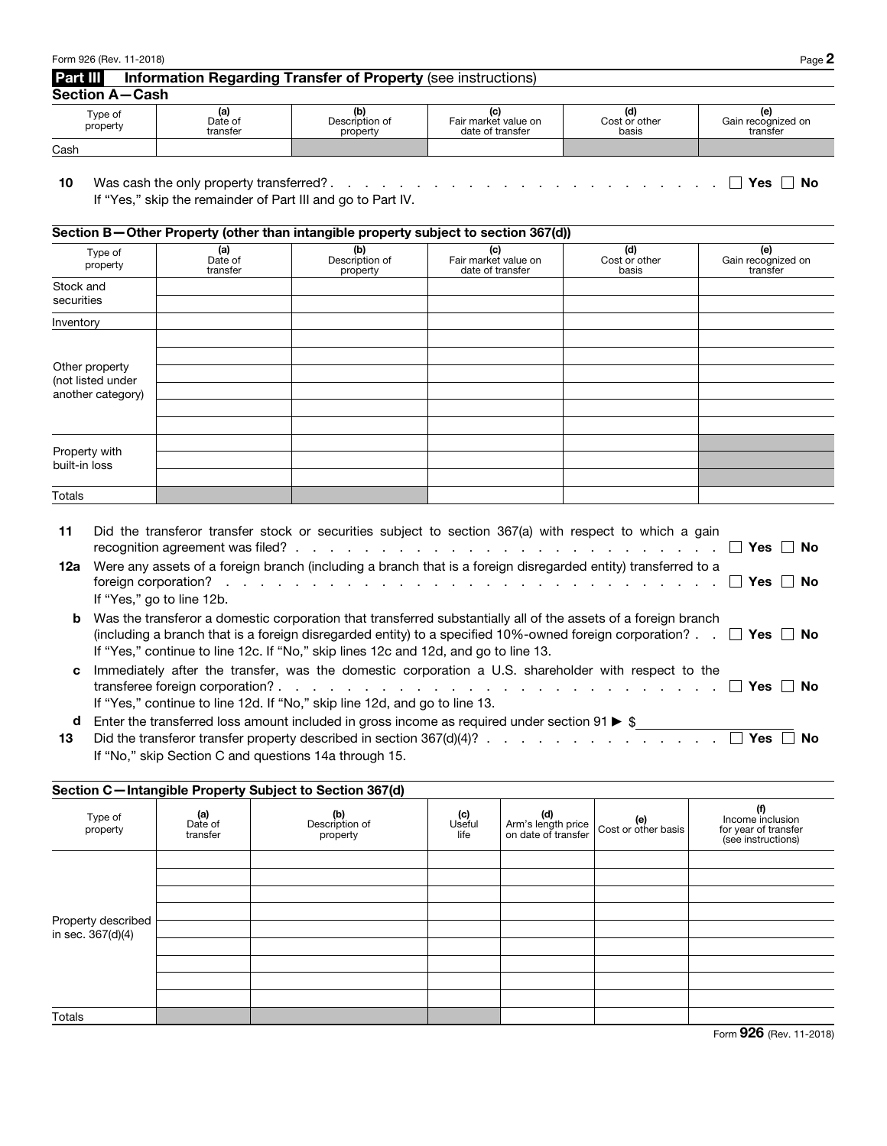| Form 926 (Rev. 11-2018) |                            |                                                                      |                                                                                     |                               | Page 2                                |
|-------------------------|----------------------------|----------------------------------------------------------------------|-------------------------------------------------------------------------------------|-------------------------------|---------------------------------------|
| Part III                |                            | <b>Information Regarding Transfer of Property (see instructions)</b> |                                                                                     |                               |                                       |
| <b>Section A-Cash</b>   |                            |                                                                      |                                                                                     |                               |                                       |
| Type of<br>property     | (a)<br>Date of<br>transfer | (b)<br>Description of<br>property                                    | (c)<br>Fair market value on<br>date of transfer                                     | (d)<br>Cost or other<br>basis | (e)<br>Gain recognized on<br>transfer |
| Cash                    |                            |                                                                      |                                                                                     |                               |                                       |
|                         |                            |                                                                      | Section B-Other Property (other than intangible property subject to section 367(d)) |                               |                                       |
| Type of<br>property     | (a)<br>Date of<br>transfer | (b)<br>Description of<br>property                                    | (c)<br>Fair market value on<br>date of transfer                                     | (d)<br>Cost or other<br>basis | (e)<br>Gain recognized on<br>transfer |
| Stock and               |                            |                                                                      |                                                                                     |                               |                                       |
| securities              |                            |                                                                      |                                                                                     |                               |                                       |
| Inventory               |                            |                                                                      |                                                                                     |                               |                                       |
|                         |                            |                                                                      |                                                                                     |                               |                                       |

| 11      | Did the transferor transfer stock or securities subject to section 367(a) with respect to which a gain<br>recognition agreement was filed? $\ldots$ $\ldots$ $\ldots$ $\ldots$ $\ldots$ $\ldots$ $\ldots$ $\ldots$ $\ldots$<br>. No                                                                                                   |
|---------|---------------------------------------------------------------------------------------------------------------------------------------------------------------------------------------------------------------------------------------------------------------------------------------------------------------------------------------|
| 12a     | Were any assets of a foreign branch (including a branch that is a foreign disregarded entity) transferred to a<br>foreign corporation? $\ldots$ $\ldots$ $\ldots$ $\ldots$ $\ldots$ $\ldots$ $\ldots$ $\ldots$ $\ldots$ $\ldots$ $\ldots$ $\ldots$ $\ldots$<br>∣ No<br>If "Yes," go to line 12b.                                      |
| b       | Was the transferor a domestic corporation that transferred substantially all of the assets of a foreign branch<br>(including a branch that is a foreign disregarded entity) to a specified 10%-owned foreign corporation? $\Box$ Yes $\Box$ No<br>If "Yes," continue to line 12c. If "No," skip lines 12c and 12d, and go to line 13. |
|         | Immediately after the transfer, was the domestic corporation a U.S. shareholder with respect to the<br>∣ I No<br>If "Yes," continue to line 12d. If "No," skip line 12d, and go to line 13.                                                                                                                                           |
| d<br>13 | Enter the transferred loss amount included in gross income as required under section 91 $\blacktriangleright$ \$<br>No<br>If "No." ckin Section C and questions $14a$ through $15$                                                                                                                                                    |

|  |  | If "No," skip Section C and questions 14a through 15. |  |
|--|--|-------------------------------------------------------|--|
|  |  |                                                       |  |

Other property (not listed under another category)

j

i

**Totals** 

Property with built-in loss

| Section C-Intangible Property Subject to Section 367(d) |                            |                                   |                       |                                                  |                            |                                                                       |
|---------------------------------------------------------|----------------------------|-----------------------------------|-----------------------|--------------------------------------------------|----------------------------|-----------------------------------------------------------------------|
| Type of<br>property                                     | (a)<br>Date of<br>transfer | (b)<br>Description of<br>property | (c)<br>Useful<br>life | (d)<br>Arm's length price<br>on date of transfer | (e)<br>Cost or other basis | (f)<br>Income inclusion<br>for year of transfer<br>(see instructions) |
|                                                         |                            |                                   |                       |                                                  |                            |                                                                       |
|                                                         |                            |                                   |                       |                                                  |                            |                                                                       |
|                                                         |                            |                                   |                       |                                                  |                            |                                                                       |
|                                                         |                            |                                   |                       |                                                  |                            |                                                                       |
| Property described<br>in sec. 367(d)(4)                 |                            |                                   |                       |                                                  |                            |                                                                       |
|                                                         |                            |                                   |                       |                                                  |                            |                                                                       |
|                                                         |                            |                                   |                       |                                                  |                            |                                                                       |
|                                                         |                            |                                   |                       |                                                  |                            |                                                                       |
|                                                         |                            |                                   |                       |                                                  |                            |                                                                       |
| Totals                                                  |                            |                                   |                       |                                                  |                            |                                                                       |

Form 926 (Rev. 11-2018)